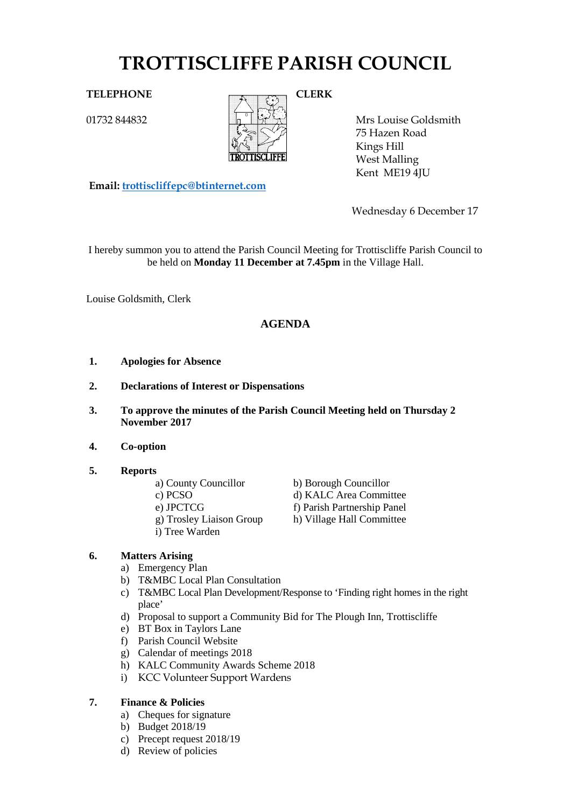# **TROTTISCLIFFE PARISH COUNCIL**

01732 844832



Mrs Louise Goldsmith 75 Hazen Road Kings Hill West Malling Kent ME19 4JU

**Email: [trottiscliffepc@btinternet.com](mailto:trottiscliffepc@btinternet.com)**

Wednesday 6 December 17

I hereby summon you to attend the Parish Council Meeting for Trottiscliffe Parish Council to be held on **Monday 11 December at 7.45pm** in the Village Hall.

Louise Goldsmith, Clerk

# **AGENDA**

- **1. Apologies for Absence**
- **2. Declarations of Interest or Dispensations**
- **3. To approve the minutes of the Parish Council Meeting held on Thursday 2 November 2017**
- **4. Co-option**
- **5. Reports**

| a) County Councillor |
|----------------------|
|                      |

- -
	-
- i) Tree Warden

b) Borough Councillor c) PCSO d) KALC Area Committee e) JPCTCG<br>
f) Parish Partnership Panel<br>
g) Trosley Liaison Group<br>
h) Village Hall Committee h) Village Hall Committee

# **6. Matters Arising**

- a) Emergency Plan
- b) T&MBC Local Plan Consultation
- c) T&MBC Local Plan Development/Response to 'Finding right homes in the right place'
- d) Proposal to support a Community Bid for The Plough Inn, Trottiscliffe
- e) BT Box in Taylors Lane
- f) Parish Council Website
- g) Calendar of meetings 2018
- h) KALC Community Awards Scheme 2018
- i) KCC Volunteer Support Wardens

# **7. Finance & Policies**

- a) Cheques for signature
- b) Budget 2018/19
- c) Precept request 2018/19
- d) Review of policies